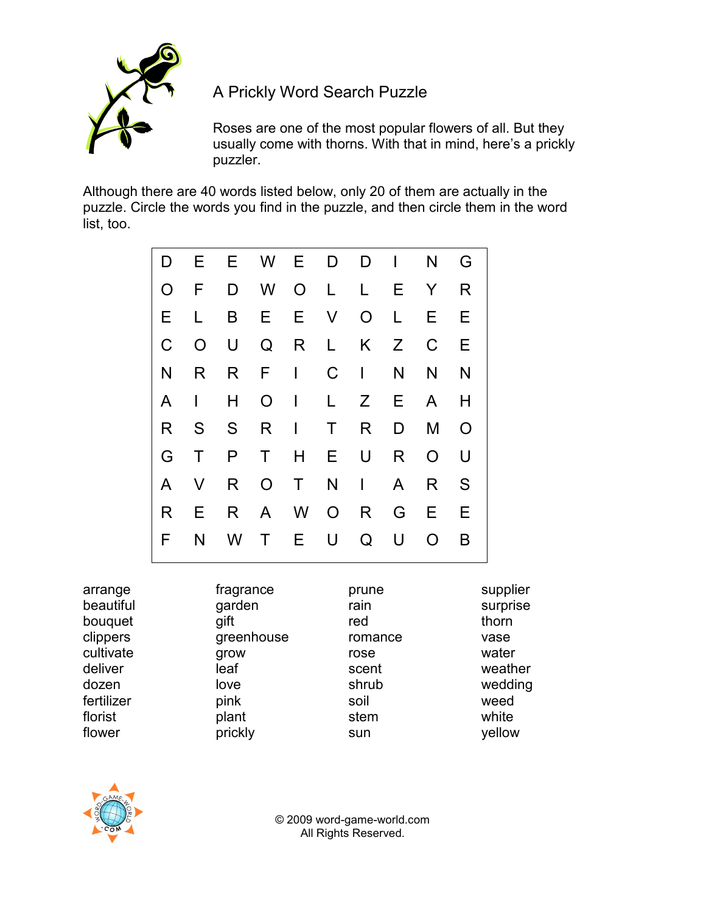

A Prickly Word Search Puzzle

Roses are one of the most popular flowers of all. But they usually come with thorns. With that in mind, here's a prickly puzzler.

Although there are 40 words listed below, only 20 of them are actually in the puzzle. Circle the words you find in the puzzle, and then circle them in the word list, too.

| D              | E.           | E.  |                | W E          | D            |                | $D \cup$ | N              | G              |
|----------------|--------------|-----|----------------|--------------|--------------|----------------|----------|----------------|----------------|
| $\overline{O}$ | F            | D   | W l            |              | O L          | $\mathsf{L}$   | Е        | Y              | R              |
| E              | L            | B   | E.             |              | E V          | $\overline{O}$ | L        | E.             | E.             |
| $\mathsf C$    | $\circ$      | U   | Q              | R L          |              | K              | Z        | $\mathsf C$    | E              |
| N              | R.           | R F |                | $\mathbf{1}$ | $\mathsf C$  | $\mathbb{R}^n$ | N        | N              | N              |
| A              | $\mathbf{I}$ | H   | $\circ$        | $\mathbf{L}$ | $\mathsf{L}$ | Z              | E.       | A              | H              |
| R              | S            |     | S R            | $\mathbf{I}$ | $\mathsf{T}$ | R              | D        | M              | $\overline{O}$ |
| G              | $\top$       | P   | T              | H.           | E.           | U              | R.       | $\overline{O}$ | U              |
| A              | $\vee$       | R   | $\overline{O}$ | $\mathsf{T}$ |              | $N \mid$       | A        | R              | S              |
| R              | E.           | R   | $\mathsf{A}$   |              | W O          | $R_{\perp}$    | G        | E.             | Е              |
| F              | N            | W   | $\mathsf{T}$   | E.           | U            | Q              | U        | O              | B              |

| arrange    | fragrance  | prune   | supplier |
|------------|------------|---------|----------|
| beautiful  | garden     | rain    | surprise |
| bouquet    | gift       | red     | thorn    |
| clippers   | greenhouse | romance | vase     |
| cultivate  | grow       | rose    | water    |
| deliver    | leaf       | scent   | weather  |
| dozen      | love       | shrub   | wedding  |
| fertilizer | pink       | soil    | weed     |
| florist    | plant      | stem    | white    |
| flower     | prickly    | sun     | yellow   |